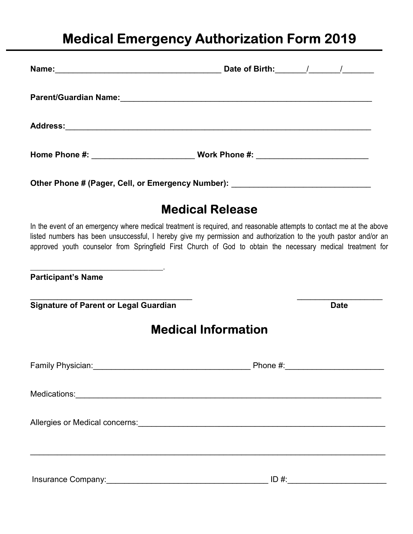## Medical Emergency Authorization Form 2019

|                                              | Home Phone #: _________________________________Work Phone #: ___________________                                                                                                                                                                                                                                                                         |
|----------------------------------------------|----------------------------------------------------------------------------------------------------------------------------------------------------------------------------------------------------------------------------------------------------------------------------------------------------------------------------------------------------------|
|                                              | Other Phone # (Pager, Cell, or Emergency Number): ______________________________                                                                                                                                                                                                                                                                         |
|                                              | <b>Medical Release</b>                                                                                                                                                                                                                                                                                                                                   |
|                                              | In the event of an emergency where medical treatment is required, and reasonable attempts to contact me at the above<br>listed numbers has been unsuccessful, I hereby give my permission and authorization to the youth pastor and/or an<br>approved youth counselor from Springfield First Church of God to obtain the necessary medical treatment for |
| <b>Participant's Name</b>                    |                                                                                                                                                                                                                                                                                                                                                          |
| <b>Signature of Parent or Legal Guardian</b> | <b>Date</b>                                                                                                                                                                                                                                                                                                                                              |
|                                              | <b>Medical Information</b>                                                                                                                                                                                                                                                                                                                               |
|                                              |                                                                                                                                                                                                                                                                                                                                                          |
|                                              |                                                                                                                                                                                                                                                                                                                                                          |
|                                              | Allergies or Medical concerns:<br>and the content of the content of the content of the content of the content of the content of the content of the content of the content of the content of the content of the content of the co                                                                                                                         |
| Insurance Company: Management Company:       | $ID \#$                                                                                                                                                                                                                                                                                                                                                  |